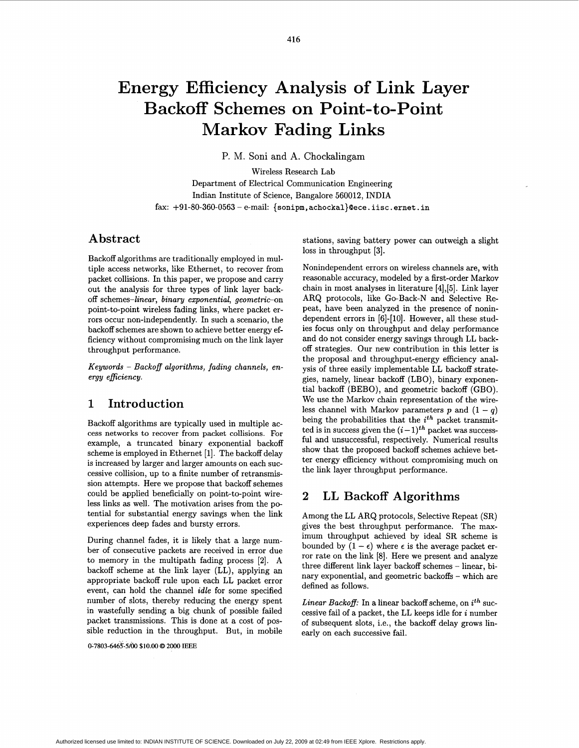# **Energy Efficiency Analysis of Link Layer Backoff Schemes on Point-to-Point Markov Fading Links**

P. M. Soni and **A.** Chockalingam

Wireless Research Lab Department of Electrical Communication Engineering Indian Institute of Science, Bangalore **560012,** INDIA  $\text{fax: } +91-80-360-0563 - \text{e-mail: } \{\text{sonipm, achockal}\}\text{@ece.}$  iisc.ernet.in

# **Abstract**

Backoff algorithms are traditionally employed in multiple access networks, like Ethernet, to recover from packet collisions. In this paper, we propose and carry out the analysis for three types of link layer backoff schemes-linear, binary exponential, geometric-on point-to-point wireless fading links, where packet errors occur non-independently. In such a scenario, the backoff schemes are shown to achieve better energy efficiency without compromising much on the link layer throughput performance.

Keywords - Backoff algorithms, fading channels, energy eficiency.

# **1 Introduction**

Backoff algorithms are typically used in multiple access networks to recover from packet collisions. For example, a truncated binary exponential backoff scheme is employed in Ethernet **[l].** The backoff delay is increased by larger and larger amounts on each successive collision, up to a finite number of retransmission attempts. Here we propose that backoff schemes could be applied beneficially on point-to-point wireless links **as** well. The motivation arises from the potential for substantial energy savings when the link experiences deep fades and bursty errors.

During channel fades, it is likely that a large number of consecutive packets are received in error due to memory in the multipath fading process **[2].** A backoff scheme at the link layer (LL), applying an appropriate backoff rule upon each LL packet error event, can hold the channel idle for some specified number of slots, thereby reducing the energy spent in wastefully sending a big chunk of possible failed packet transmissions. This is done at a cost of possible reduction in the throughput. But, in mobile

*0-7803-646??-5/bO* **\$10.00** *0* **2000** IEEE

stations, saving battery power can outweigh a slight loss in throughput **[3].** 

Nonindependent errors on wireless channels are, with reasonable accuracy, modeled by a first-order Markov chain in most analyses in literature **[4],[5].** Link layer ARQ protocols, like Go-Back-N and Selective Repeat, have been analyzed in the presence of nonindependent errors in **[6]-[lo].** However, all these studies focus only on throughput and delay performance and do not consider energy savings through LL backoff strategies. Our new contribution in this letter is the proposal and throughput-energy efficiency analysis of three easily implementable LL backoff strategies, namely, linear backoff (LBO), binary exponential backoff (BEBO), and geometric backoff (GBO). We use the Markov chain representation of the wireless channel with Markov parameters *p* and  $(1 - q)$ being the probabilities that the **ith** packet transmitted is in success given the  $(i-1)^{th}$  packet was successful and unsuccessful, respectively. Numerical results show that the proposed backoff schemes achieve better energy efficiency without compromising much on the link layer throughput performance.

# **2 LL Backoff Algorithms**

Among the LL ARQ protocols, Selective Repeat (SR) gives the best throughput performance. The maximum throughput achieved by ideal SR scheme is bounded by  $(1 - \epsilon)$  where  $\epsilon$  is the average packet error rate on the link **[8].** Here we present and analyze three different link layer backoff schemes - linear, binary exponential, and geometric backoffs - which are defined as follows.

Linear Backoff: In a linear backoff scheme, on *ith* successive fail of a packet, the LL keeps idle for **i** number of subsequent slots, i.e., the backoff delay grows linearly on each successive fail.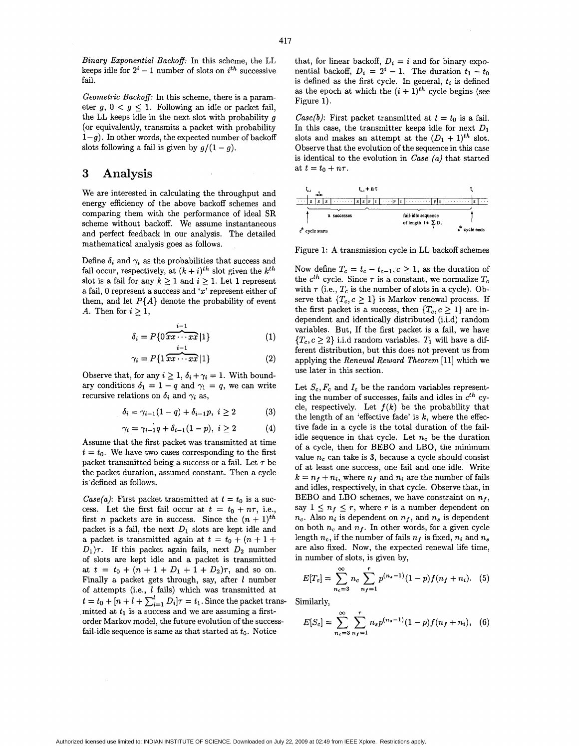*Binary Exponential Backoff:* In this scheme, the LL keeps idle for  $2^{i} - 1$  number of slots on  $i^{th}$  successive fail.

*Geometric Backoff:* In this scheme, there is a parameter  $q$ ,  $0 < q < 1$ . Following an idle or packet fail, the LL keeps idle in the next slot with probability g (or equivalently, transmits a packet with probability  $1-g$ ). In other words, the expected number of backoff slots following a fail is given by  $g/(1-g)$ .

# **3 Analysis**

We are interested in calculating the throughput and energy efficiency of the above backoff schemes and comparing them with the performance of ideal SR scheme without backoff. We assume instantaneous and perfect feedback in our analysis. The detailed mathematical analysis goes as follows. .

Define  $\delta_i$  and  $\gamma_i$  as the probabilities that success and fail occur, respectively, at  $(k + i)^{th}$  slot given the  $k^{th}$ slot is a fail for any  $k \geq 1$  and  $i \geq 1$ . Let 1 represent a fail, 0 represent a success and *'2'* represent either of them, and let  $P{A}$  denote the probability of event *A.* Then for  $i \geq 1$ ,

$$
\delta_i = P\{0 \overbrace{x}^{i-1} \cdots x}^{i-1} |1\}
$$
 (1)

$$
\gamma_i = P\{1 \overbrace{xx \cdots xx} |1\}
$$
 (2)

Observe that, for any  $i \geq 1$ ,  $\delta_i + \gamma_i = 1$ . With boundary conditions  $\delta_1 = 1 - q$  and  $\gamma_1 = q$ , we can write recursive relations on  $\delta_i$  and  $\gamma_i$  as,

$$
\delta_i = \gamma_{i-1}(1-q) + \delta_{i-1}p, \ i \ge 2 \tag{3}
$$

$$
\gamma_i = \gamma_{i-1}q + \delta_{i-1}(1-p), \ i \ge 2 \tag{4}
$$

Assume that the first packet was transmitted at time  $t = t_0$ . We have two cases corresponding to the first packet transmitted being a success or a fail. Let *T* be the packet duration, assumed constant. Then a cycle is'defined **as** follows.

*Case(a)*: First packet transmitted at  $t = t_0$  is a success. Let the first fail occur at  $t = t_0 + n\tau$ , i.e., first *n* packets are in success. Since the  $(n + 1)$ <sup>th</sup> packet is a fail, the next *D1* slots are kept idle and a packet is transmitted again at  $t = t_0 + (n + 1 +$  $(D_1)\tau$ . If this packet again fails, next  $D_2$  number of slots are kept idle and a packet is transmitted at  $t = t_0 + (n + 1 + D_1 + 1 + D_2)\tau$ , and so on. Finally a packet gets through, say, after  $l$  number of attempts (i.e.,  $l$  fails) which was transmitted at  $t = t_0 + [n + l + \sum_{i=1}^{l} D_i]\tau = t_1$ . Since the packet transmitted at  $t_1$  is a success and we are assuming a firstorder Markov model, the future evolution of the successfail-idle sequence is same as that started at  $t_0$ . Notice

that, for linear backoff,  $D_i = i$  and for binary exponential backoff,  $D_i = 2^i - 1$ . The duration  $t_1 - t_0$ is defined as the first cycle. In general,  $t_i$  is defined as the epoch at which the  $(i + 1)^{th}$  cycle begins (see Figure *1).* 

*Case(b)*: First packet transmitted at  $t = t_0$  is a fail. In this case, the transmitter keeps idle for next  $D_1$ slots and makes an attempt at the  $(D_1 + 1)^{th}$  slot. Observe that the evolution of the sequence in this case is identical to the evolution in *Case (a)* that started at  $t = t_0 + n\tau$ .



Figure 1: A transmission cycle in LL backoff schemes

Now define  $T_c = t_c - t_{c-1}, c \geq 1$ , as the duration of the  $c^{th}$  cycle. Since  $\tau$  is a constant, we normalize  $T_c$ with  $\tau$  (i.e.,  $T_c$  is the number of slots in a cycle). Observe that  ${T_c, c > 1}$  is Markov renewal process. If the first packet is a success, then  ${T_c, c \ge 1}$  are independent and identically distributed (i.i.d) random variables. But, If the first packet is a fail, we have  ${T_c, c \geq 2}$  i.i.d random variables.  ${T_1}$  will have a different distribution, but this does not prevent us from applying the *Renewal Reward Theorem* [ll] which we use later in this section.

Let  $S_c, F_c$  and  $I_c$  be the random variables representing the number of successes, fails and idles in *cth* cycle, respectively. Let  $f(k)$  be the probability that the length of an 'effective fade' is *k,* where the effective fade in a cycle is the total duration of the failidle sequence in that cycle. Let  $n_c$  be the duration of a cycle, then for BEBO and LBO, the minimum value *nc* can take is **3,** because a cycle should consist of at least one success, one fail and one idle. Write  $k = n_f + n_i$ , where  $n_f$  and  $n_i$  are the number of fails and idles, respectively, in that cycle. Observe that, in BEBO and LBO schemes, we have constraint on  $n_f$ , say  $1 \leq n_f \leq r$ , where *r* is a number dependent on  $n_c$ . Also  $n_i$  is dependent on  $n_f$ , and  $n_s$  is dependent on both  $n_c$  and  $n_f$ . In other words, for a given cycle length  $n_c$ , if the number of fails  $n_f$  is fixed,  $n_i$  and  $n_s$ are also fixed. Now, the expected renewal life time, in number of slots, is given by,

$$
E[T_c] = \sum_{n_c=3}^{\infty} n_c \sum_{n_f=1}^{r} p^{(n_s-1)} (1-p) f(n_f + n_i). \quad (5)
$$

Similarly,

$$
E[S_c] = \sum_{n_c=3}^{\infty} \sum_{n_f=1}^{r} n_s p^{(n_s-1)} (1-p) f(n_f + n_i), \quad (6)
$$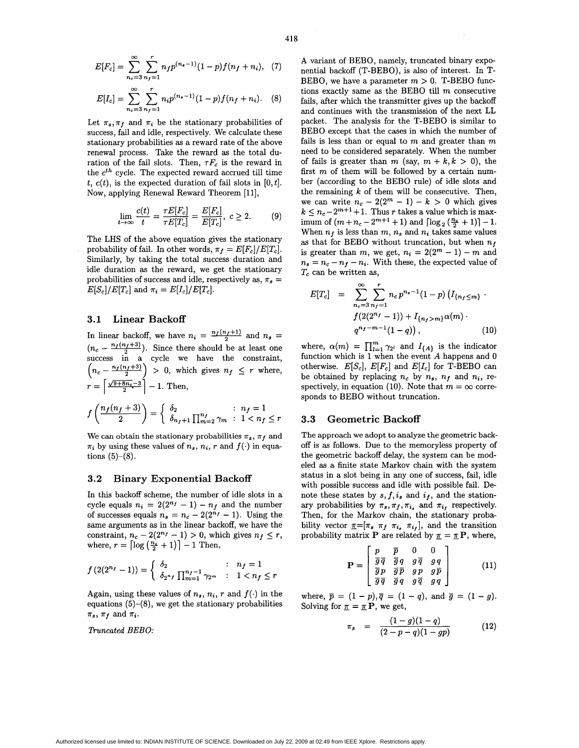$$
418 \\
$$

$$
E[F_c] = \sum_{n_c=3}^{\infty} \sum_{n_f=1}^{r} n_f p^{(n_s-1)} (1-p) f(n_f + n_i), \quad (7)
$$

$$
E[I_c] = \sum_{n_c=3}^{\infty} \sum_{n_f=1}^{r} n_i p^{(n_s-1)} (1-p) f(n_f + n_i). \quad (8)
$$

Let  $\pi_{\epsilon}, \pi_{\epsilon}$  and  $\pi_{i}$  be the stationary probabilities of success, fail and idle, respectively. We calculate these stationary probabilities **as** a reward rate of the above renewal process. Take the reward **as** the total duration of the fail slots. Then,  $\tau F_c$  is the reward in the *cth* cycle. The expected reward accrued till time  $t, c(t)$ , is the expected duration of fail slots in  $[0, t]$ . Now, applying Renewal Reward Theorem *[ll],* 

$$
\lim_{t \to \infty} \frac{c(t)}{t} = \frac{\tau E[F_c]}{\tau E[T_c]} = \frac{E[F_c]}{E[T_c]}, \ c \ge 2. \tag{9}
$$

The LHS of the above equation gives the stationary probability of fail. In other words,  $\pi_f = E[F_c]/E[T_c]$ . Similarly, by taking the total success duration and idle duration **as** the reward, we get the stationary probabilities of success and idle, respectively as,  $\pi_s =$  $E[S_c]/E[T_c]$  and  $\pi_i = E[I_c]/E[T_c]$ .

#### **3.1 Linear Backoff**

In linear backoff, we have  $n_i = \frac{n_f(n_f+1)}{2}$  and  $n_s =$  $(n_c - \frac{n_f(n_f+3)}{2})$ . Since there should be at least one success in a cycle we have the constraint,  $\left(n_c - \frac{n_f(n_f+3)}{2}\right) > 0$ , which gives  $n_f \leq r$  where,  $r = \left[\frac{\sqrt{9+8n_c}-3}{2}\right] - 1$ . Then,

$$
f\left(\frac{n_f(n_f+3)}{2}\right) = \begin{cases} \delta_2 & : n_f = 1\\ \delta_{n_f+1} \prod_{m=2}^{n_f} \gamma_m & : 1 < n_f \leq r \end{cases}
$$

We can obtain the stationary probabilities  $\pi_s$ ,  $\pi_f$  and  $\pi_i$  by using these values of  $n_s$ ,  $n_i$ , r and  $f(\cdot)$  in equations  $(5)-(8)$ .

#### **3.2 Binary Exponential Backoff**

In this backoff scheme, the number of idle slots in a cycle equals  $n_i = 2(2^{n_f} - 1) - n_f$  and the number of successes equals  $n_s = n_c - 2(2^{n_f} - 1)$ . Using the same arguments **as** in the linear backoff, we have the constraint,  $n_c - 2(2^{n_f} - 1) > 0$ , which gives  $n_f \leq r$ , where,  $r = \left[\log\left(\frac{n_c}{2} + 1\right)\right] - 1$  Then,

$$
f(2(2^{n_f}-1)) = \begin{cases} \delta_2 & \text{if } n_f = 1\\ \delta_{2^{n_f}} \prod_{m=1}^{n_f-1} \gamma_{2^m} & \text{if } 1 < n_f \leq r \end{cases}
$$

Again, using these values of  $n_s$ ,  $n_i$ , r and  $f(\cdot)$  in the equations  $(5)-(8)$ , we get the stationary probabilities  $\pi_s$ ,  $\pi_f$  and  $\pi_i$ .

*?+uncated BEBO:* 

**A** variant of BEBO, namely, truncated binary exponential backoff (T-BEBO), is also of interest. In T-BEBO, we have a parameter  $m > 0$ . T-BEBO functions exactly same as the BEBO till *m* consecutive fails, after which the transmitter gives up the backoff and continues with the transmission of the next LL packet. The analysis for the T-BEBO is similar to BEBO except that the cases in which the number of fails is less than or equal to *m* and greater than *m*  need to be considered separately. When the number of fails is greater than *m* (say,  $m + k, k > 0$ ), the first *m* of them will be followed by a certain number (according to the BEBO rule) of idle slots and the remaining *k* of them will be consecutive. Then, we can write  $n_c - 2(2^m - 1) - k > 0$  which gives  $k \leq n_c - 2^{m+1} + 1$ . Thus *r* takes a value which is maximum of  $(m + n_c - 2^{m+1} + 1)$  and  $\lceil \log_2(\frac{n_c}{2} + 1) \rceil - 1$ . When  $n_f$  is less than  $m$ ,  $n_s$  and  $n_i$  takes same values as that for BEBO without truncation, but when  $n_f$ is greater than *m*, we get,  $n_i = 2(2^m - 1) - m$  and  $n_s = n_c - n_f - n_i$ . With these, the expected value of *T,* can be written **as,** 

$$
E[T_c] = \sum_{n_c=3}^{\infty} \sum_{n_f=1}^{r} n_c p^{n_s-1} (1-p) (I_{\{n_f \le m\}} \cdot f(2(2^{n_f} - 1)) + I_{\{n_f > m\}} \alpha(m) \cdot q^{n_f - m - 1} (1-q)), \qquad (10)
$$

where,  $\alpha(m) = \prod_{l=1}^{m} \gamma_{2^l}$  and  $I_{\{A\}}$  is the indicator function which is *1* when the event *A* happens and 0 otherwise.  $E[S_c]$ ,  $E[F_c]$  and  $E[I_c]$  for T-BEBO can be obtained by replacing  $n_c$  by  $n_s$ ,  $n_f$  and  $n_i$ , respectively, in equation (10). Note that  $m = \infty$  corresponds to BEBO without truncation.

#### **3.3 Geometric Backoff**

The approach we adopt to analyze the geometric backoff is **as** follows. Due to the memoryless property of the geometric backoff delay, the system can be modeled **as** a finite state Markov chain with the system status in a slot being in any one of success, fail, idle with possible success and idle with possible fail. Denote these states by  $s, f, i_s$  and  $i_f$ , and the stationary probabilities by  $\pi_s$ ,  $\pi_f$ ,  $\pi_i$ , and  $\pi_i$ , respectively. Then, for the Markov chain, the stationary probability vector  $\underline{\pi}=[\pi_s \ \pi_f \ \pi_{i_s} \ \pi_{i_f}],$  and the transition probability matrix **P** are related by  $\underline{\pi} = \underline{\pi} \mathbf{P}$ , where,

$$
\mathbf{P} = \begin{bmatrix} p & \bar{p} & 0 & 0 \\ \bar{g}\bar{q} & \bar{g}q & g\bar{q} & gq \\ \bar{g}p & \bar{g}\bar{p} & g\bar{p} & g\bar{p} \\ \bar{g}\bar{q} & \bar{g}q & g\bar{q} & gq \end{bmatrix}
$$
(11)

where,  $\bar{p} = (1 - p), \bar{q} = (1 - q), \text{ and } \bar{g} = (1 - g).$ Solving for  $\underline{\pi} = \underline{\pi} \, \mathbf{P}$ , we get,

$$
\pi_s = \frac{(1-g)(1-q)}{(2-p-q)(1-gp)} \tag{12}
$$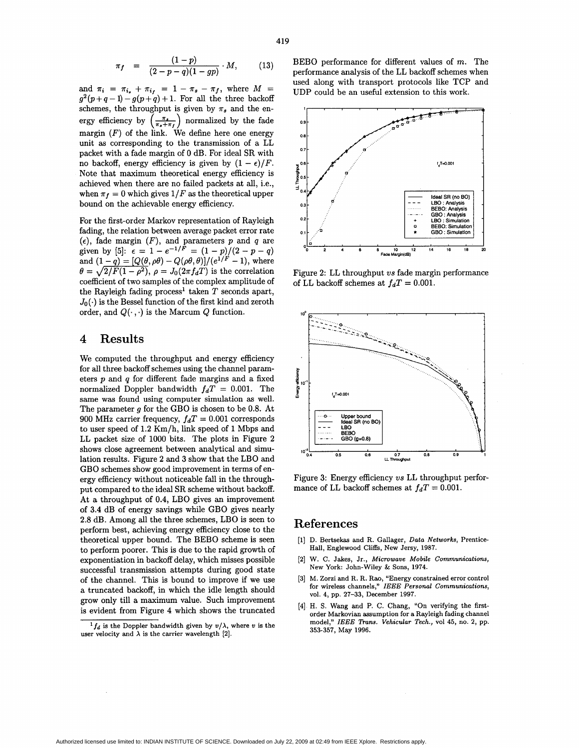$$
\pi_f = \frac{(1-p)}{(2-p-q)(1-gp)} \cdot M, \qquad (13)
$$

and  $\pi_i = \pi_{i_s} + \pi_{i_f} = 1 - \pi_s - \pi_f$ , where  $M =$  $g^2(p+q-1)-g(p+q)+1$ . For all the three backoff schemes, the throughput is given by  $\pi_s$  and the energy efficiency by  $\left(\frac{\pi_s}{\pi_s+\pi_f}\right)$  normalized by the fade margin  $(F)$  of the link. We define here one energy unit **as** corresponding to the transmission of a LL packet with a fade margin of *0* dB. For ideal SR with no backoff, energy efficiency is given by  $(1 - \epsilon)/F$ . Note that maximum theoretical energy efficiency is achieved when there are no failed packets at all, i.e., when  $\pi_f = 0$  which gives  $1/F$  as the theoretical upper bound on the achievable energy efficiency.

For the first-order Markov representation of Rayleigh fading, the relation between average packet error rate  $(\epsilon)$ , fade margin  $(F)$ , and parameters *p* and *q* are and  $(1 - q) = [Q(\theta, \rho\theta) - Q(\rho\theta, \theta)]/(e^{i/\dot{F}} - 1)$ , where  $\theta = \sqrt{2/F(1 - \rho^2)}$ ,  $\rho = J_0(2\pi f_dT)$  is the correlation For the first-order Markov representation of Rayleigh<br>fading, the relation between average packet error rate<br>( $\epsilon$ ), fade margin ( $F$ ), and parameters  $p$  and  $q$  are<br>given by [5]:  $\epsilon = 1 - e^{-1/F} = (1 - p)/(2 - p - q)$ <br>and  $(1 - q) = [Q(\$ coefficient of two samples of the complex amplitude of the Rayleigh fading process<sup>1</sup> taken  $T$  seconds apart,  $J_0(\cdot)$  is the Bessel function of the first kind and zeroth order, and  $Q(\cdot, \cdot)$  is the Marcum  $Q$  function. (*e*), rade margin (*F*), and parameters *p* and *q* are given by [5]:  $\epsilon = 1 - e^{-1/F} = (1 - p)/(2 - p - q)$ 

## **4 Results**

We computed the throughput and energy efficiency for all three backoff schemes using the channel parameters *p* and *q* for different fade margins and a fixed normalized Doppler bandwidth  $f_dT = 0.001$ . The same was found using computer simulation **as** well. The parameter **g** for the GBO is chosen to be 0.8. At 900 MHz carrier frequency,  $f_dT = 0.001$  corresponds to user speed of **1.2** Km/h, link speed of 1 Mbps and LL packet size of **1000** bits. The plots in Figure **2**  shows close agreement between analytical and simulation results. Figure **2** and **3** show that the LBO and GBO schemes show good improvement in terms of energy efficiency without noticeable fall in the throughput compared to the ideal SR scheme without backoff. At a throughput of **0.4,** LBO gives an improvement of **3.4** dB of energy savings while GBO gives nearly **2.8** dB. Among all the three schemes, LBO is seen to perform best, achieving energy efficiency close to the theoretical upper bound. The BEBO scheme is seen to perform poorer. This is due to the rapid growth of exponentiation in backoff delay, which misses possible successful transmission attempts during good state of the channel. This is bound to improve if we use a truncated backoff, in which the idle length should grow only till a maximum value. Such improvement is evident from Figure **4** which shows the truncated BEBO performance for different values of *m.* The performance analysis of the LL backoff schemes when used along with transport protocols like TCP and UDP could be an useful extension to this work.



Figure **2:** LL throughput *us* fade margin performance of LL backoff schemes at  $f_dT = 0.001$ .



Figure **3:** Energy efficiency *us* LL throughput performance of LL backoff schemes at  $f_dT = 0.001$ .

### **References**

- **[l] D. Bertsekas and R. Gallager,** *Data Networks,* **Prentice-Hall, Englewood Cliffs, New Jersy, 1987.**
- **[2] W. C. Jakes, Jr.,** *Microwave Mobile Communications,*  **New York: John-Wiley** & **Sons, 1974.**
- **[3] M. Zorzi and R. R. Rao, "Energy constrained error control for wireless channels,"** *IEEE Personal Communications,*  **vol. 4, pp. 27-33, December 1997.**
- **[4] H.** *S.* **Wang and P. C. Chang, "On verifying the firstorder Markovian assumption for a Rayleigh fading channel**  model," IEEE Trans. Vehicular Tech., vol 45, no. 2, pp. **353-357, May 1996.**

 $\frac{1}{d} f_d$  is the Doppler bandwidth given by  $v/\lambda$ , where *v* is the user velocity and  $\lambda$  is the carrier wavelength [2].